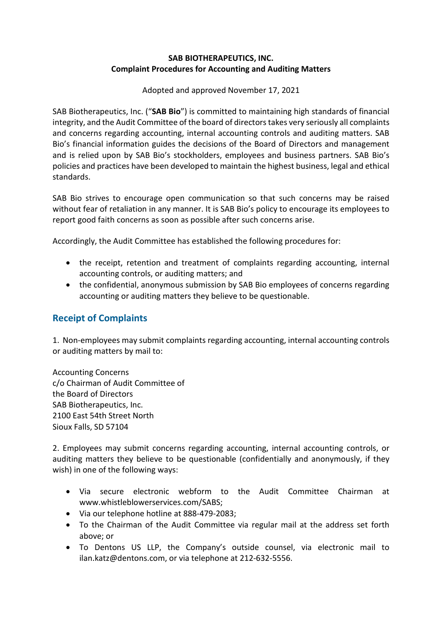## **SAB BIOTHERAPEUTICS, INC. Complaint Procedures for Accounting and Auditing Matters**

Adopted and approved November 17, 2021

SAB Biotherapeutics, Inc. ("**SAB Bio**") is committed to maintaining high standards of financial integrity, and the Audit Committee of the board of directors takes very seriously all complaints and concerns regarding accounting, internal accounting controls and auditing matters. SAB Bio's financial information guides the decisions of the Board of Directors and management and is relied upon by SAB Bio's stockholders, employees and business partners. SAB Bio's policies and practices have been developed to maintain the highest business, legal and ethical standards.

SAB Bio strives to encourage open communication so that such concerns may be raised without fear of retaliation in any manner. It is SAB Bio's policy to encourage its employees to report good faith concerns as soon as possible after such concerns arise.

Accordingly, the Audit Committee has established the following procedures for:

- the receipt, retention and treatment of complaints regarding accounting, internal accounting controls, or auditing matters; and
- the confidential, anonymous submission by SAB Bio employees of concerns regarding accounting or auditing matters they believe to be questionable.

## **Receipt of Complaints**

1. Non-employees may submit complaints regarding accounting, internal accounting controls or auditing matters by mail to:

Accounting Concerns c/o Chairman of Audit Committee of the Board of Directors SAB Biotherapeutics, Inc. 2100 East 54th Street North Sioux Falls, SD 57104

2. Employees may submit concerns regarding accounting, internal accounting controls, or auditing matters they believe to be questionable (confidentially and anonymously, if they wish) in one of the following ways:

- Via secure electronic webform to the Audit Committee Chairman at www.whistleblowerservices.com/SABS;
- Via our telephone hotline at 888-479-2083;
- To the Chairman of the Audit Committee via regular mail at the address set forth above; or
- To Dentons US LLP, the Company's outside counsel, via electronic mail to ilan.katz@dentons.com, or via telephone at 212-632-5556.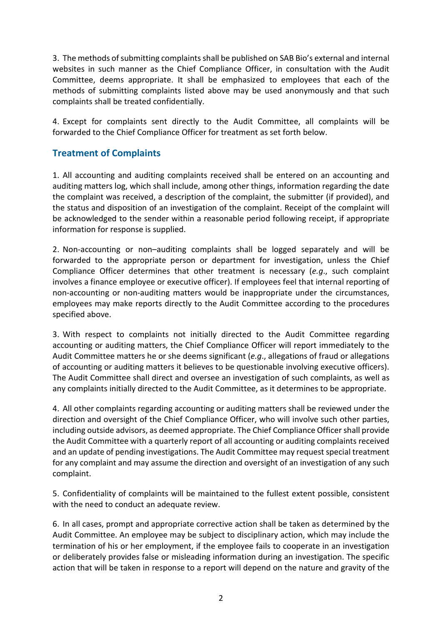3. The methods of submitting complaints shall be published on SAB Bio's external and internal websites in such manner as the Chief Compliance Officer, in consultation with the Audit Committee, deems appropriate. It shall be emphasized to employees that each of the methods of submitting complaints listed above may be used anonymously and that such complaints shall be treated confidentially.

4. Except for complaints sent directly to the Audit Committee, all complaints will be forwarded to the Chief Compliance Officer for treatment as set forth below.

## **Treatment of Complaints**

1. All accounting and auditing complaints received shall be entered on an accounting and auditing matters log, which shall include, among other things, information regarding the date the complaint was received, a description of the complaint, the submitter (if provided), and the status and disposition of an investigation of the complaint. Receipt of the complaint will be acknowledged to the sender within a reasonable period following receipt, if appropriate information for response is supplied.

2. Non-accounting or non–auditing complaints shall be logged separately and will be forwarded to the appropriate person or department for investigation, unless the Chief Compliance Officer determines that other treatment is necessary (*e.g*., such complaint involves a finance employee or executive officer). If employees feel that internal reporting of non-accounting or non-auditing matters would be inappropriate under the circumstances, employees may make reports directly to the Audit Committee according to the procedures specified above.

3. With respect to complaints not initially directed to the Audit Committee regarding accounting or auditing matters, the Chief Compliance Officer will report immediately to the Audit Committee matters he or she deems significant (*e.g*., allegations of fraud or allegations of accounting or auditing matters it believes to be questionable involving executive officers). The Audit Committee shall direct and oversee an investigation of such complaints, as well as any complaints initially directed to the Audit Committee, as it determines to be appropriate.

4. All other complaints regarding accounting or auditing matters shall be reviewed under the direction and oversight of the Chief Compliance Officer, who will involve such other parties, including outside advisors, as deemed appropriate. The Chief Compliance Officer shall provide the Audit Committee with a quarterly report of all accounting or auditing complaints received and an update of pending investigations. The Audit Committee may request special treatment for any complaint and may assume the direction and oversight of an investigation of any such complaint.

5. Confidentiality of complaints will be maintained to the fullest extent possible, consistent with the need to conduct an adequate review.

6. In all cases, prompt and appropriate corrective action shall be taken as determined by the Audit Committee. An employee may be subject to disciplinary action, which may include the termination of his or her employment, if the employee fails to cooperate in an investigation or deliberately provides false or misleading information during an investigation. The specific action that will be taken in response to a report will depend on the nature and gravity of the